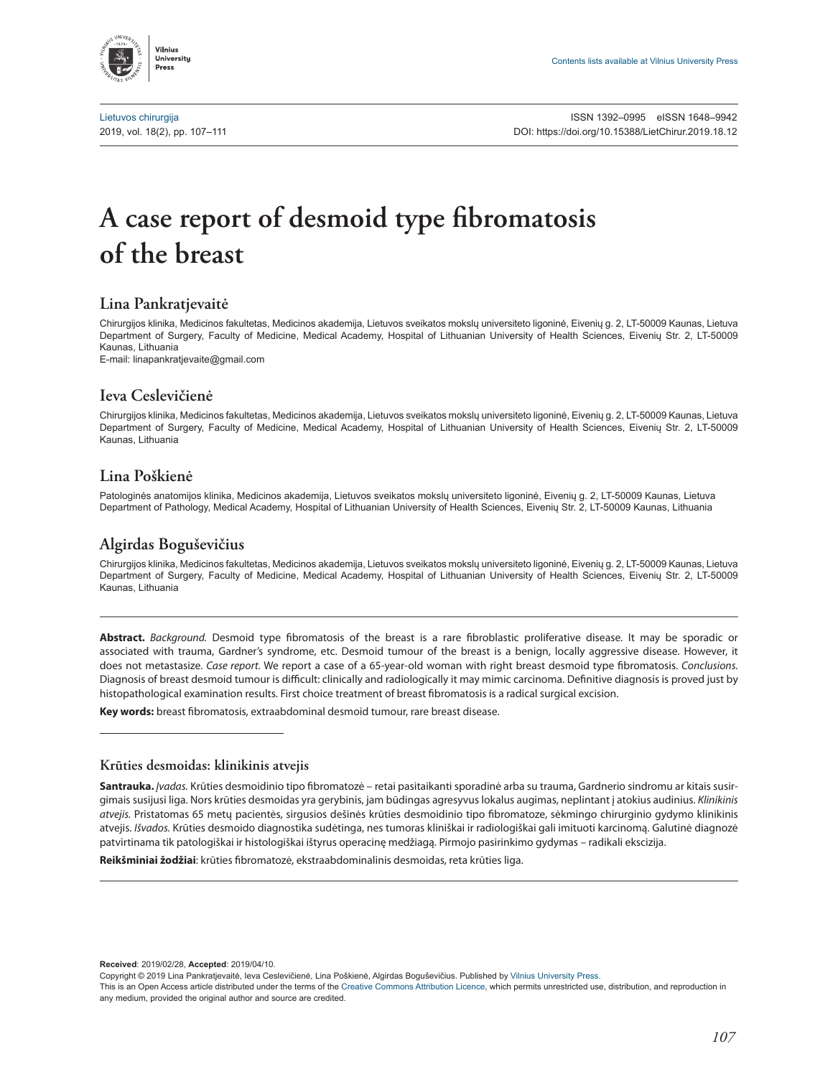

[Lietuvos chirurgija](http://www.zurnalai.vu.lt/lietuvos-chirurgija) ISSN 1392–0995 eISSN 1648–9942 2019, vol. 18(2), pp. 107–111 DOI: [https://doi.org/10.15388/LietChirur.2019.18.](https://doi.org/10.15388/LietChirur.2019.18.4)12

# **A case report of desmoid type fibromatosis of the breast**

## **Lina Pankratjevaitė**

Chirurgijos klinika, Medicinos fakultetas, Medicinos akademija, Lietuvos sveikatos mokslų universiteto ligoninė, Eivenių g. 2, LT-50009 Kaunas, Lietuva Department of Surgery, Faculty of Medicine, Medical Academy, Hospital of Lithuanian University of Health Sciences, Eivenių Str. 2, LT-50009 Kaunas, Lithuania

E-mail: linapankratjevaite@gmail.com

#### **Ieva Ceslevičienė**

Chirurgijos klinika, Medicinos fakultetas, Medicinos akademija, Lietuvos sveikatos mokslų universiteto ligoninė, Eivenių g. 2, LT-50009 Kaunas, Lietuva Department of Surgery, Faculty of Medicine, Medical Academy, Hospital of Lithuanian University of Health Sciences, Eivenių Str. 2, LT-50009 Kaunas, Lithuania

#### **Lina Poškienė**

Patologinės anatomijos klinika, Medicinos akademija, Lietuvos sveikatos mokslų universiteto ligoninė, Eivenių g. 2, LT-50009 Kaunas, Lietuva Department of Pathology, Medical Academy, Hospital of Lithuanian University of Health Sciences, Eivenių Str. 2, LT-50009 Kaunas, Lithuania

# **Algirdas Boguševičius**

Chirurgijos klinika, Medicinos fakultetas, Medicinos akademija, Lietuvos sveikatos mokslų universiteto ligoninė, Eivenių g. 2, LT-50009 Kaunas, Lietuva Department of Surgery, Faculty of Medicine, Medical Academy, Hospital of Lithuanian University of Health Sciences, Eivenių Str. 2, LT-50009 Kaunas, Lithuania

**Abstract.** *Background.* Desmoid type fibromatosis of the breast is a rare fibroblastic proliferative disease. It may be sporadic or associated with trauma, Gardner's syndrome, etc. Desmoid tumour of the breast is a benign, locally aggressive disease. However, it does not metastasize. *Case report.* We report a case of a 65-year-old woman with right breast desmoid type fibromatosis. *Conclusions.*  Diagnosis of breast desmoid tumour is difficult: clinically and radiologically it may mimic carcinoma. Definitive diagnosis is proved just by histopathological examination results. First choice treatment of breast fibromatosis is a radical surgical excision.

**Key words:** breast fibromatosis, extraabdominal desmoid tumour, rare breast disease.

#### **Krūties desmoidas: klinikinis atvejis**

**Santrauka.** *Įvadas.* Krūties desmoidinio tipo fibromatozė – retai pasitaikanti sporadinė arba su trauma, Gardnerio sindromu ar kitais susirgimais susijusi liga. Nors krūties desmoidas yra gerybinis, jam būdingas agresyvus lokalus augimas, neplintant į atokius audinius. *Klinikinis atvejis.* Pristatomas 65 metų pacientės, sirgusios dešinės krūties desmoidinio tipo fibromatoze, sėkmingo chirurginio gydymo klinikinis atvejis. *Išvados.* Krūties desmoido diagnostika sudėtinga, nes tumoras kliniškai ir radiologiškai gali imituoti karcinomą. Galutinė diagnozė patvirtinama tik patologiškai ir histologiškai ištyrus operacinę medžiagą. Pirmojo pasirinkimo gydymas – radikali ekscizija.

**Reikšminiai žodžiai**: krūties fibromatozė, ekstraabdominalinis desmoidas, reta krūties liga.

**Received**: 2019/02/28, **Accepted**: 2019/04/10.

Copyright © 2019 Lina Pankratjevaitė, Ieva Ceslevičienė, Lina Poškienė, Algirdas Boguševičius. Published by Vilnius University Press.

This is an Open Access article distributed under the terms of the Creative Commons Attribution Licence, which permits unrestricted use, distribution, and reproduction in any medium, provided the original author and source are credited.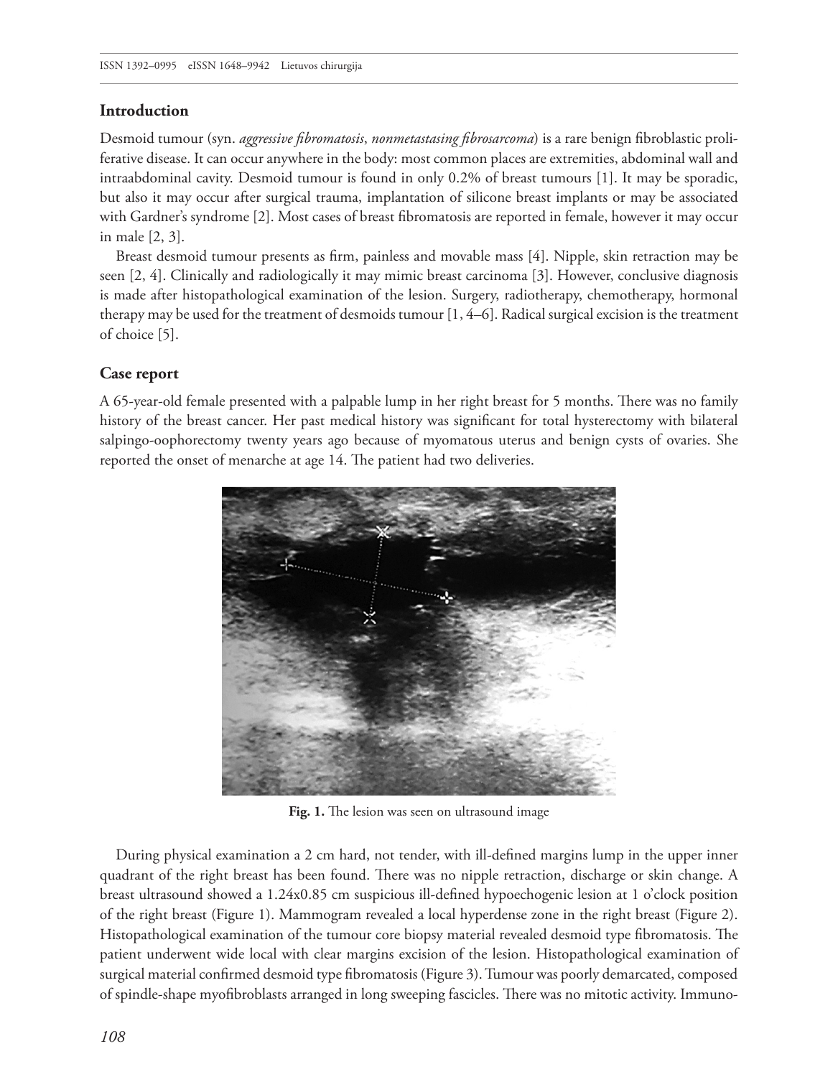#### **Introduction**

Desmoid tumour (syn. *aggressive fibromatosis*, *nonmetastasing fibrosarcoma*) is a rare benign fibroblastic proliferative disease. It can occur anywhere in the body: most common places are extremities, abdominal wall and intraabdominal cavity. Desmoid tumour is found in only 0.2% of breast tumours [1]. It may be sporadic, but also it may occur after surgical trauma, implantation of silicone breast implants or may be associated with Gardner's syndrome [2]. Most cases of breast fibromatosis are reported in female, however it may occur in male [2, 3].

Breast desmoid tumour presents as firm, painless and movable mass [4]. Nipple, skin retraction may be seen [2, 4]. Clinically and radiologically it may mimic breast carcinoma [3]. However, conclusive diagnosis is made after histopathological examination of the lesion. Surgery, radiotherapy, chemotherapy, hormonal therapy may be used for the treatment of desmoids tumour [1, 4–6]. Radical surgical excision is the treatment of choice [5].

## **Case report**

A 65-year-old female presented with a palpable lump in her right breast for 5 months. There was no family history of the breast cancer. Her past medical history was significant for total hysterectomy with bilateral salpingo-oophorectomy twenty years ago because of myomatous uterus and benign cysts of ovaries. She reported the onset of menarche at age 14. The patient had two deliveries.



Fig. 1. The lesion was seen on ultrasound image

During physical examination a 2 cm hard, not tender, with ill-defined margins lump in the upper inner quadrant of the right breast has been found. There was no nipple retraction, discharge or skin change. A breast ultrasound showed a 1.24x0.85 cm suspicious ill-defined hypoechogenic lesion at 1 o'clock position of the right breast (Figure 1). Mammogram revealed a local hyperdense zone in the right breast (Figure 2). Histopathological examination of the tumour core biopsy material revealed desmoid type fibromatosis. The patient underwent wide local with clear margins excision of the lesion. Histopathological examination of surgical material confirmed desmoid type fibromatosis (Figure 3). Tumour was poorly demarcated, composed of spindle-shape myofibroblasts arranged in long sweeping fascicles. There was no mitotic activity. Immuno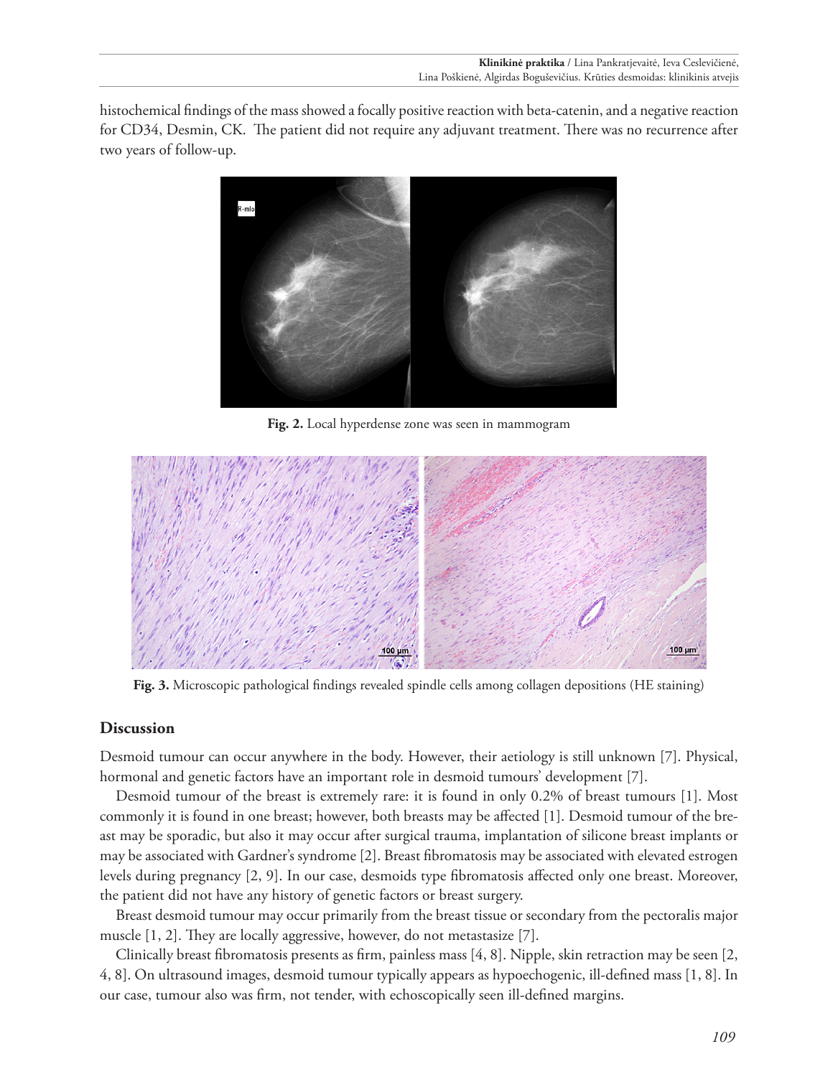histochemical findings of the mass showed a focally positive reaction with beta-catenin, and a negative reaction for CD34, Desmin, CK. The patient did not require any adjuvant treatment. There was no recurrence after two years of follow-up.



**Fig. 2.** Local hyperdense zone was seen in mammogram



**Fig. 3.** Microscopic pathological findings revealed spindle cells among collagen depositions (HE staining)

#### **Discussion**

Desmoid tumour can occur anywhere in the body. However, their aetiology is still unknown [7]. Physical, hormonal and genetic factors have an important role in desmoid tumours' development [7].

Desmoid tumour of the breast is extremely rare: it is found in only 0.2% of breast tumours [1]. Most commonly it is found in one breast; however, both breasts may be affected [1]. Desmoid tumour of the breast may be sporadic, but also it may occur after surgical trauma, implantation of silicone breast implants or may be associated with Gardner's syndrome [2]. Breast fibromatosis may be associated with elevated estrogen levels during pregnancy [2, 9]. In our case, desmoids type fibromatosis affected only one breast. Moreover, the patient did not have any history of genetic factors or breast surgery.

Breast desmoid tumour may occur primarily from the breast tissue or secondary from the pectoralis major muscle [1, 2]. They are locally aggressive, however, do not metastasize [7].

Clinically breast fibromatosis presents as firm, painless mass [4, 8]. Nipple, skin retraction may be seen [2, 4, 8]. On ultrasound images, desmoid tumour typically appears as hypoechogenic, ill-defined mass [1, 8]. In our case, tumour also was firm, not tender, with echoscopically seen ill-defined margins.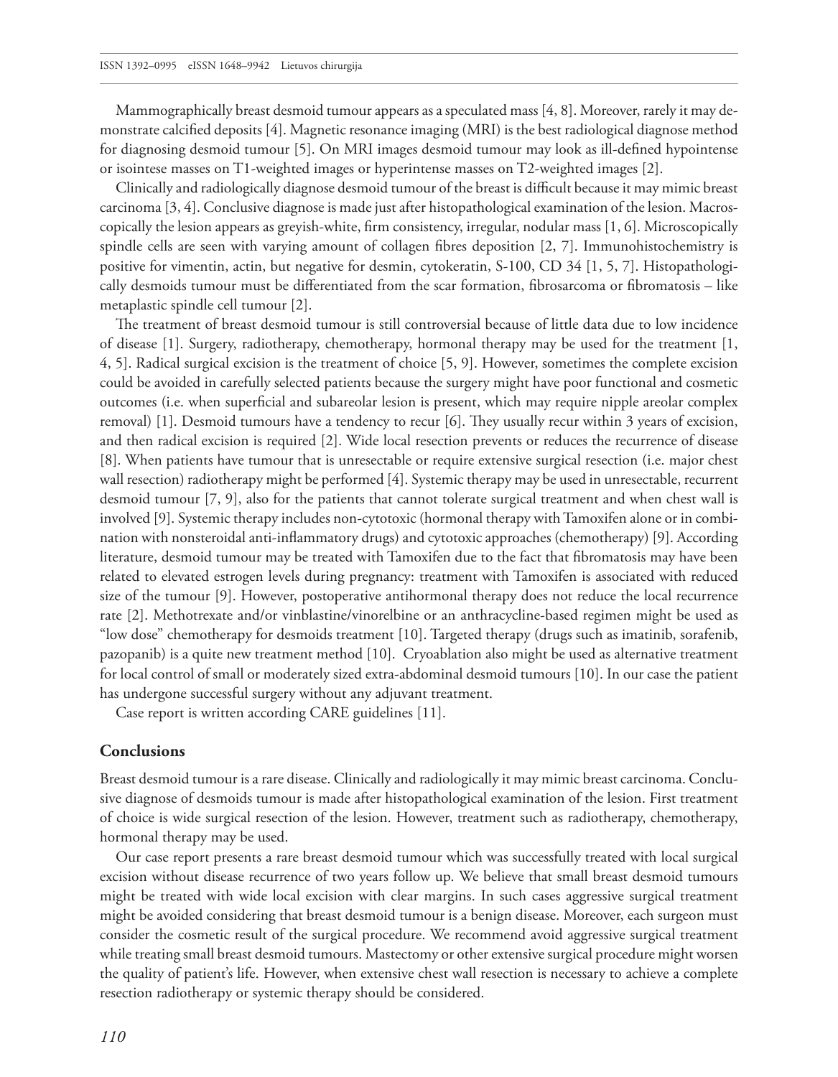Mammographically breast desmoid tumour appears as a speculated mass [4, 8]. Moreover, rarely it may demonstrate calcified deposits [4]. Magnetic resonance imaging (MRI) is the best radiological diagnose method for diagnosing desmoid tumour [5]. On MRI images desmoid tumour may look as ill-defined hypointense or isointese masses on T1-weighted images or hyperintense masses on T2-weighted images [2].

Clinically and radiologically diagnose desmoid tumour of the breast is difficult because it may mimic breast carcinoma [3, 4]. Conclusive diagnose is made just after histopathological examination of the lesion. Macroscopically the lesion appears as greyish-white, firm consistency, irregular, nodular mass [1, 6]. Microscopically spindle cells are seen with varying amount of collagen fibres deposition [2, 7]. Immunohistochemistry is positive for vimentin, actin, but negative for desmin, cytokeratin, S-100, CD 34 [1, 5, 7]. Histopathologically desmoids tumour must be differentiated from the scar formation, fibrosarcoma or fibromatosis – like metaplastic spindle cell tumour [2].

The treatment of breast desmoid tumour is still controversial because of little data due to low incidence of disease [1]. Surgery, radiotherapy, chemotherapy, hormonal therapy may be used for the treatment [1, 4, 5]. Radical surgical excision is the treatment of choice [5, 9]. However, sometimes the complete excision could be avoided in carefully selected patients because the surgery might have poor functional and cosmetic outcomes (i.e. when superficial and subareolar lesion is present, which may require nipple areolar complex removal) [1]. Desmoid tumours have a tendency to recur [6]. They usually recur within 3 years of excision, and then radical excision is required [2]. Wide local resection prevents or reduces the recurrence of disease [8]. When patients have tumour that is unresectable or require extensive surgical resection (i.e. major chest wall resection) radiotherapy might be performed [4]. Systemic therapy may be used in unresectable, recurrent desmoid tumour [7, 9], also for the patients that cannot tolerate surgical treatment and when chest wall is involved [9]. Systemic therapy includes non-cytotoxic (hormonal therapy with Tamoxifen alone or in combination with nonsteroidal anti-inflammatory drugs) and cytotoxic approaches (chemotherapy) [9]. According literature, desmoid tumour may be treated with Tamoxifen due to the fact that fibromatosis may have been related to elevated estrogen levels during pregnancy: treatment with Tamoxifen is associated with reduced size of the tumour [9]. However, postoperative antihormonal therapy does not reduce the local recurrence rate [2]. Methotrexate and/or vinblastine/vinorelbine or an anthracycline-based regimen might be used as "low dose" chemotherapy for desmoids treatment [10]. Targeted therapy (drugs such as imatinib, sorafenib, pazopanib) is a quite new treatment method [10]. Cryoablation also might be used as alternative treatment for local control of small or moderately sized extra-abdominal desmoid tumours [10]. In our case the patient has undergone successful surgery without any adjuvant treatment.

Case report is written according CARE guidelines [11].

#### **Conclusions**

Breast desmoid tumour is a rare disease. Clinically and radiologically it may mimic breast carcinoma. Conclusive diagnose of desmoids tumour is made after histopathological examination of the lesion. First treatment of choice is wide surgical resection of the lesion. However, treatment such as radiotherapy, chemotherapy, hormonal therapy may be used.

Our case report presents a rare breast desmoid tumour which was successfully treated with local surgical excision without disease recurrence of two years follow up. We believe that small breast desmoid tumours might be treated with wide local excision with clear margins. In such cases aggressive surgical treatment might be avoided considering that breast desmoid tumour is a benign disease. Moreover, each surgeon must consider the cosmetic result of the surgical procedure. We recommend avoid aggressive surgical treatment while treating small breast desmoid tumours. Mastectomy or other extensive surgical procedure might worsen the quality of patient's life. However, when extensive chest wall resection is necessary to achieve a complete resection radiotherapy or systemic therapy should be considered.